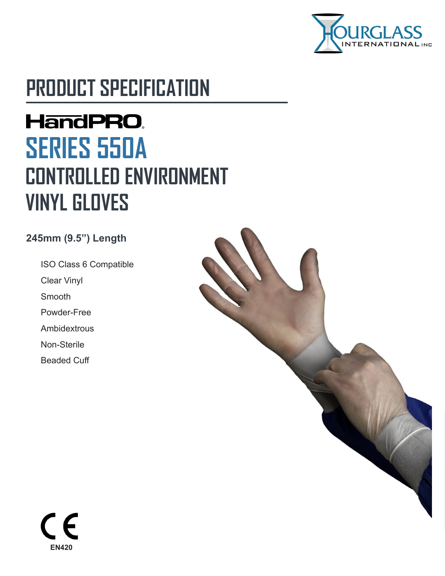

# **PRODUCT SPECIFICATION**

# **HandPRO. SERIES 550A CONTROLLED ENVIRONMENT VINYL GLOVES**

#### **245mm (9.5") Length**

ISO Class 6 Compatible Clear Vinyl Smooth Powder-Free **Ambidextrous** Non-Sterile Beaded Cuff